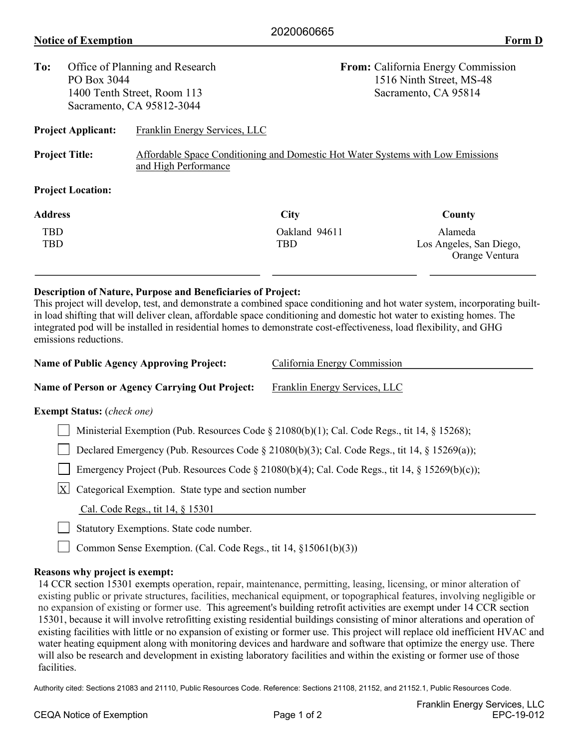| To:                         | Office of Planning and Research<br>PO Box 3044 |                                                                                                         | <b>From:</b> California Energy Commission<br>1516 Ninth Street, MS-48 |                                           |  |  |
|-----------------------------|------------------------------------------------|---------------------------------------------------------------------------------------------------------|-----------------------------------------------------------------------|-------------------------------------------|--|--|
|                             |                                                |                                                                                                         |                                                                       |                                           |  |  |
| 1400 Tenth Street, Room 113 |                                                |                                                                                                         |                                                                       | Sacramento, CA 95814                      |  |  |
|                             |                                                | Sacramento, CA 95812-3044                                                                               |                                                                       |                                           |  |  |
|                             | <b>Project Applicant:</b>                      | Franklin Energy Services, LLC                                                                           |                                                                       |                                           |  |  |
| <b>Project Title:</b>       |                                                | Affordable Space Conditioning and Domestic Hot Water Systems with Low Emissions<br>and High Performance |                                                                       |                                           |  |  |
|                             | <b>Project Location:</b>                       |                                                                                                         |                                                                       |                                           |  |  |
| <b>Address</b>              |                                                |                                                                                                         | <b>City</b>                                                           | County                                    |  |  |
| <b>TBD</b>                  |                                                |                                                                                                         | Oakland 94611                                                         | Alameda                                   |  |  |
| TBD                         |                                                |                                                                                                         | <b>TBD</b>                                                            | Los Angeles, San Diego,<br>Orange Ventura |  |  |
|                             |                                                |                                                                                                         |                                                                       |                                           |  |  |

## **Description of Nature, Purpose and Beneficiaries of Project:**

This project will develop, test, and demonstrate a combined space conditioning and hot water system, incorporating builtin load shifting that will deliver clean, affordable space conditioning and domestic hot water to existing homes. The integrated pod will be installed in residential homes to demonstrate cost-effectiveness, load flexibility, and GHG emissions reductions.

| <b>Name of Public Agency Approving Project:</b> | California Energy Commission  |
|-------------------------------------------------|-------------------------------|
| Name of Person or Agency Carrying Out Project:  | Franklin Energy Services, LLC |
| <b>Exempt Status:</b> ( <i>check one</i> )      |                               |

## Ministerial Exemption (Pub. Resources Code § 21080(b)(1); Cal. Code Regs., tit 14, § 15268);

□ Declared Emergency (Pub. Resources Code § 21080(b)(3); Cal. Code Regs., tit 14, § 15269(a));

Emergency Project (Pub. Resources Code  $\S$  21080(b)(4); Cal. Code Regs., tit 14,  $\S$  15269(b)(c));

 $X$  Categorical Exemption. State type and section number

Cal. Code Regs., tit 14, § 15301

Statutory Exemptions. State code number.

□ Common Sense Exemption. (Cal. Code Regs., tit 14, §15061(b)(3))

## **Reasons why project is exempt:**

14 CCR section 15301 exempts operation, repair, maintenance, permitting, leasing, licensing, or minor alteration of existing public or private structures, facilities, mechanical equipment, or topographical features, involving negligible or no expansion of existing or former use. This agreement's building retrofit activities are exempt under 14 CCR section 15301, because it will involve retrofitting existing residential buildings consisting of minor alterations and operation of existing facilities with little or no expansion of existing or former use. This project will replace old inefficient HVAC and water heating equipment along with monitoring devices and hardware and software that optimize the energy use. There will also be research and development in existing laboratory facilities and within the existing or former use of those facilities.

Authority cited: Sections 21083 and 21110, Public Resources Code. Reference: Sections 21108, 21152, and 21152.1, Public Resources Code.